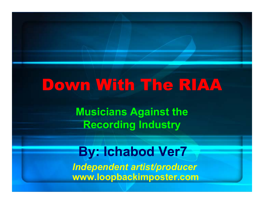# Down With The RIAA

**Musicians Against the Recording Industry**

**By: Ichabod Ver7** *Independent artist/producer* **www.loopbackimposter.com**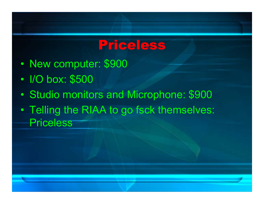### Priceless

- •• New computer: \$900
- •• I/O box: \$500
- •Studio monitors and Microphone: \$900
- $\bullet$  Telling the RIAA to go fsck themselves: **Priceless**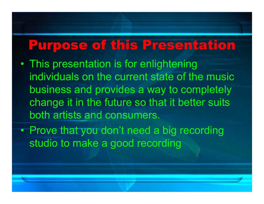### Purpose of this Presentation

- • This presentation is for enlightening individuals on the current state of the music business and provides a way to completely change it in the future so that it better suits both artists and consumers.
- $\bullet$ • Prove that you don't need a big recording studio to make a good recording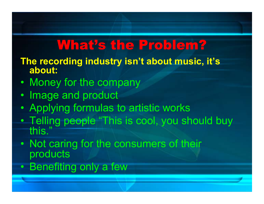## What's the Problem?

- **The recording industry isn't about music, it's about:**
- •• Money for the company
- Image and product
- •Applying formulas to artistic works
- $\bullet$  Telling people "This is cool, you should buy this."
- $\bullet$ • Not caring for the consumers of their products
- $\bullet$ • Benefiting only a few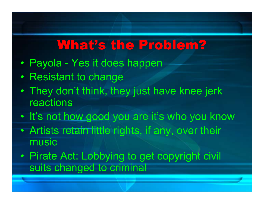### What's the Problem?

- •Payola - Yes it does happen
- •• Resistant to change
- • They don't think, they just have knee jerk reactions
- It's not how good you are it's who you know
- $\bullet$  Artists retain little rights, if any, over their music
- $\bullet$ • Pirate Act: Lobbying to get copyright civil suits changed to criminal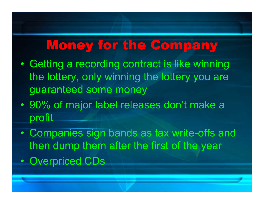### Money for the Company

- • Getting a recording contract is like winning the lottery, only winning the lottery you are guaranteed some money
- $\bullet$  90% of major label releases don't make a profit
- $\bullet$  Companies sign bands as tax write-offs and then dump them after the first of the year
- $\bullet$ • Overpriced CDs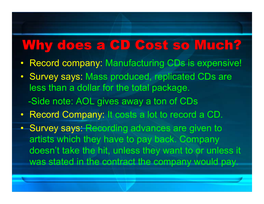## Why does a CD Cost so Much?

- Record company: Manufacturing CDs is expensive!
- Survey says: Mass produced, replicated CDs are less than a dollar for the total package. -Side note: AOL gives away a ton of CDs
- Record Company: It costs a lot to record a CD.
- Survey says: Recording advances are given to artists which they have to pay back. Company doesn't take the hit, unless they want to or unless it was stated in the contract the company would pay.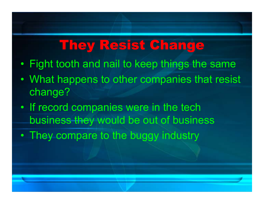## They Resist Change

- •Fight tooth and nail to keep things the same
- • What happens to other companies that resist change?
- •• If record companies were in the tech business they would be out of business
- •• They compare to the buggy industry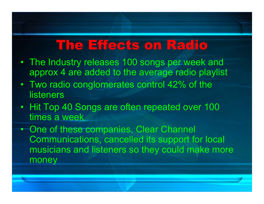### The Effects on Radio

- The Industry releases 100 songs per week and approx 4 are added to the average radio playlist
- Two radio conglomerates control 42% of the listeners
- Hit Top 40 Songs are often repeated over 100 times a week

• One of these companies, Clear Channel Communications, cancelled its support for local musicians and listeners so they could make more money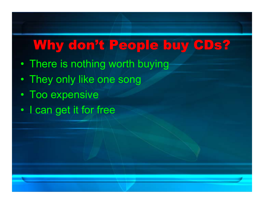## Why don't People buy CDs?

- •There is nothing worth buying
- •They only like one song
- •• Too expensive
- •• I can get it for free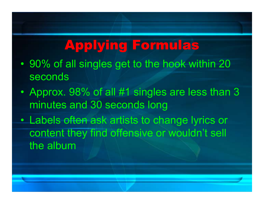# Applying Formulas

- • 90% of all singles get to the hook within 20 seconds
- • Approx. 98% of all #1 singles are less than 3 minutes and 30 seconds long
- $\bullet$  Labels often ask artists to change lyrics or content they find offensive or wouldn't sell the album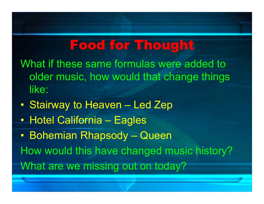### Food for Thought

What if these same formulas were added to older music, how would that change things like:

- $\bullet$ • Stairway to Heaven – Led Zep
- $\bullet$ Hotel California – Eagles

 $\bullet$  Bohemian Rhapsody – Queen How would this have changed music history? What are we missing out on today?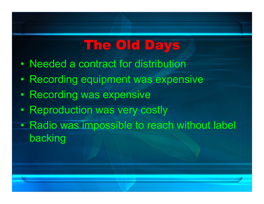# The Old Days

- •Needed a contract for distribution
- •• Recording equipment was expensive
- •• Recording was expensive
- •• Reproduction was very costly
- •• Radio was impossible to reach without label backing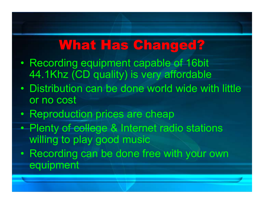## What Has Changed?

- •• Recording equipment capable of 16bit 44.1Khz (CD quality) is very affordable
- $\bullet$  Distribution can be done world wide with little or no cost
- •• Reproduction prices are cheap
- $\bullet$ • Plenty of college & Internet radio stations willing to play good music
- $\bullet$ • Recording can be done free with your own equipment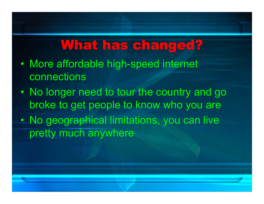### What has changed?

- • More affordable high-speed internet connections
- •• No longer need to tour the country and go broke to get people to know who you are
- $\bullet$  No geographical limitations, you can live pretty much anywhere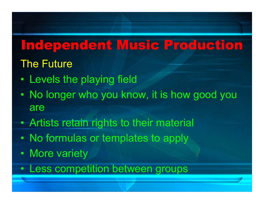## Independent Music Production

### The Future

- •Levels the playing field
- •• No longer who you know, it is how good you are
- $\bullet$ Artists retain rights to their material
- $\bullet$ • No formulas or templates to apply
- $\bullet$ • More variety
- Less competition between groups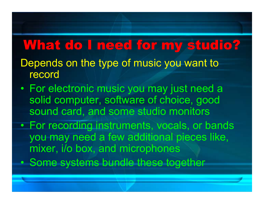### What do I need for my studio?

- Depends on the type of music you want to record
- $\bullet$  For electronic music you may just need a solid computer, software of choice, good sound card, and some studio monitors
- $\bullet$  For recording instruments, vocals, or bands you may need a few additional pieces like, mixer, i/o box, and microphones
- $\bullet$ • Some systems bundle these together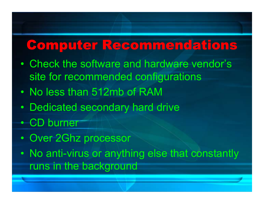### Computer Recommendations

- • Check the software and hardware vendor's site for recommended configurations
- •• No less than 512mb of RAM
- •Dedicated secondary hard drive
- CD burner
- $\bullet$ Over 2Ghz processor
- $\bullet$  No anti-virus or anything else that constantly runs in the background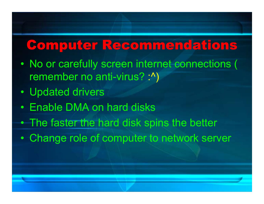### Computer Recommendations

- • No or carefully screen internet connections ( remember no anti-virus? :^)
- •• Updated drivers
- •Enable DMA on hard disks
- $\bullet$ • The faster the hard disk spins the better
- $\bullet$ Change role of computer to network server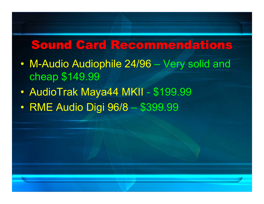#### Sound Card Recommendations

- $\bullet$  M-Audio Audiophile 24/96 Very solid and cheap \$149.99
- $\bullet$  AudioTrak Maya44 MKII \$199.99
- $\bullet$  RME Audio Digi 96/8 1\$399.99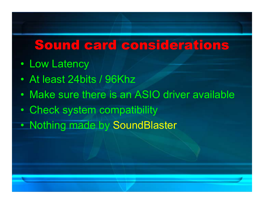### Sound card considerations

- Low Latency
- •At least 24bits / 96Khz
- •Make sure there is an ASIO driver available
- $\bullet$ Check system compatibility
- •• Nothing made by SoundBlaster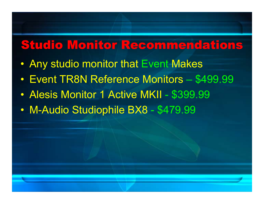### Studio Monitor Recommendations

- $\bullet$ Any studio monitor that Event Makes
- Event TR8N Reference Monitors – \$499.99
- $\bullet$ • Alesis Monitor 1 Active MKII -\$399.99
- $\bullet$  M-Audio Studiophile BX8 \$479.99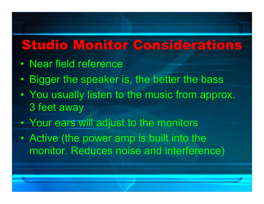## Studio Monitor Considerations

- •Near field reference
- •• Bigger the speaker is, the better the bass
- •• You usually listen to the music from approx. 3 feet away
- $\bullet$ • Your ears will adjust to the monitors
- $\bullet$  Active (the power amp is built into the monitor. Reduces noise and interference)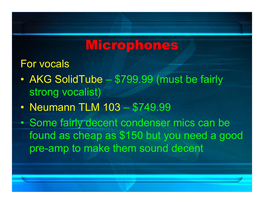### **Microphones**

#### For vocals

- $\bullet$  AKG SolidTube – \$799.99 (must be fairly strong vocalist)
- $\bullet$ • Neumann TLM 103 \$749.99
- $\bullet$ • Some fairly decent condenser mics can be found as cheap as \$150 but you need a good pre-amp to make them sound decent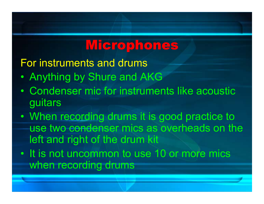## Microphones

For instruments and drums

- •Anything by Shure and AKG
- • Condenser mic for instruments like acoustic guitars
- •• When recording drums it is good practice to use two condenser mics as overheads on the left and right of the drum kit
- It is not uncommon to use 10 or more mics when recording drums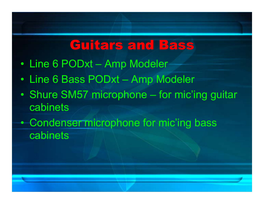### Guitars and Bass

- Line 6 PODxt –Amp Modeler
- Line 6 Bass PODxt –Amp Modeler
- •• Shure SM57 microphone – for mic'ing guitar cabinets
- $\bullet$ • Condenser microphone for mic'ing bass cabinets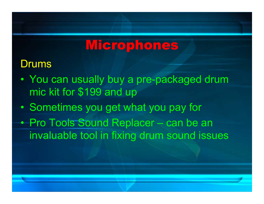## **Microphones**

#### Drums

- • You can usually buy a pre-packaged drum mic kit for \$199 and up
- •• Sometimes you get what you pay for
- $\bullet$  Pro Tools Sound Replacer – can be an invaluable tool in fixing drum sound issues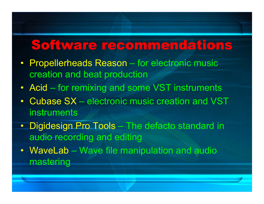## Software recommendations

- Propellerheads Reason – for electronic music creation and beat production
- A cid for remixing and some VST instruments
- Cubase SX electronic music creation and VST instruments
- Digidesign Pro Tools – The defacto standard in audio recording and editing
- WaveLab Wave file manipulation and audio mastering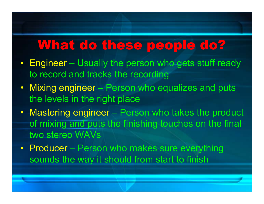### What do these people do?

- Engineer – Usually the person who gets stuff ready to record and tracks the recording
- Mixing engineer – Person who equalizes and puts the levels in the right place
- Mastering engineer – Person who takes the product of mixing and puts the finishing touches on the final two stereo WAVs
- Producer Person who makes sure everything sounds the way it should from start to finish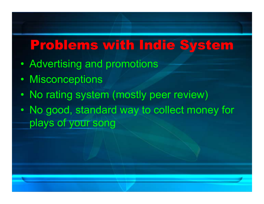## Problems with Indie System

- •• Advertising and promotions
- •Misconceptions
- •• No rating system (mostly peer review)
- • No good, standard way to collect money for plays of your song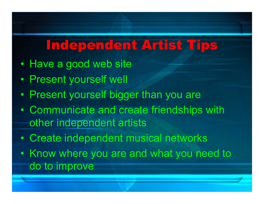## Independent Artist Tips

- •• Have a good web site
- •Present yourself well
- •• Present yourself bigger than you are
- $\bullet$  Communicate and create friendships with other independent artists
- $\bullet$ Create independent musical networks
- $\bullet$ • Know where you are and what you need to do to improve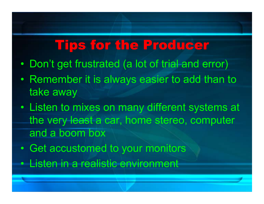## Tips for the Producer

- •Don't get frustrated (a lot of trial and error)
- •• Remember it is always easier to add than to take away
- • Listen to mixes on many different systems at the very least a car, home stereo, computer and a boom box
- $\bullet$ Get accustomed to your monitors
- Listen in a realistic environment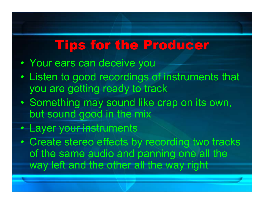## Tips for the Producer

- •Your ears can deceive you
- • Listen to good recordings of instruments that you are getting ready to track
- •• Something may sound like crap on its own, but sound good in the mix
- Layer your instruments
- $\bullet$  Create stereo effects by recording two tracks of the same audio and panning one all the way left and the other all the way right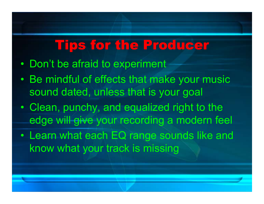## Tips for the Producer

- •• Don't be afraid to experiment
- • Be mindful of effects that make your music sound dated, unless that is your goal
- • Clean, punchy, and equalized right to the edge will give your recording a modern feel
- • Learn what each EQ range sounds like and know what your track is missing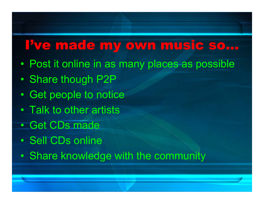### I've made my own music so…

- •Post it online in as many places as possible
- •• Share though P2P
- •• Get people to notice
- $\bullet$ • Talk to other artists
- •Get CDs made
- Sell CDs online
- $\bullet$ Share knowledge with the community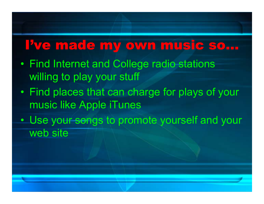### I've made my own music so…

- • Find Internet and College radio stations willing to play your stuff
- •• Find places that can charge for plays of your music like Apple iTunes
- $\bullet$ • Use your songs to promote yourself and your web site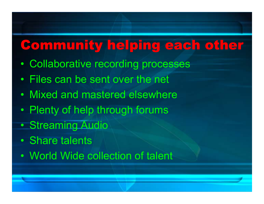## Community helping each other

- •Collaborative recording processes
- •Files can be sent over the net
- •Mixed and mastered elsewhere
- $\bullet$ Plenty of help through forums
- •• Streaming Audio
- •Share talents
- •World Wide collection of talent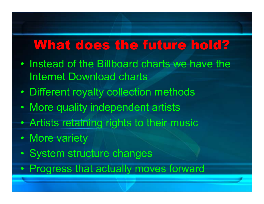### What does the future hold?

- Instead of the Billboard charts we have the Internet Download charts
- •Different royalty collection methods
- •More quality independent artists
- $\bullet$ Artists retaining rights to their music
- $\bullet$ • More variety
- $\bullet$ • System structure changes
- $\bullet$ • Progress that actually moves forward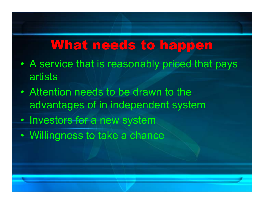## What needs to happen

- • A service that is reasonably priced that pays artists
- •• Attention needs to be drawn to the advantages of in independent system
- $\bullet$ • Investors for a new system
- •Willingness to take a chance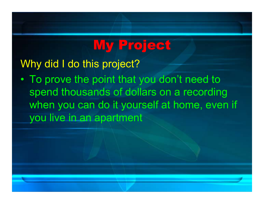# My Project

Why did I do this project?

• To prove the point that you don't need to spend thousands of dollars on a recording when you can do it yourself at home, even if you live in an apartment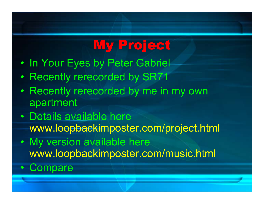# My Project

- •• In Your Eyes by Peter Gabriel
- •• Recently rerecorded by SR71
- Recently rerecorded by me in my own apartment
- Details available here www.loopbackimposter.com/project.html
- My version available here www.loopbackimposter.com/music.html
- $\bullet$ **Compare**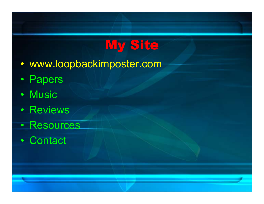# My Site

- www.loopbackimposter.com
- Papers
- Music
- Reviews
- Resources
- Contact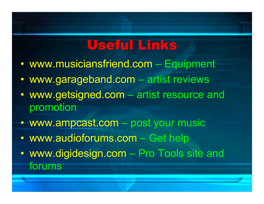## Useful Links

- $\bullet$  www.musiciansfriend.com Equipment
- $\bullet$  www.garageband.com – artist reviews
- $\bullet$  www.getsigned.com  $\mathcal{L}_{\mathcal{A}}$  , and the set of the set of the set of the set of the set of the set of the set of the set of the set of the set of the set of the set of the set of the set of the set of the set of the set of the set of th – artist resource and promotion
- www.ampcast.com post your music
- $\bullet$  www.audioforums.com – Get help
- $\bullet$  www.digidesign.com  $\mathcal{L}_{\mathcal{A}}$  , and the set of the set of the set of the set of the set of the set of the set of the set of the set of the set of the set of the set of the set of the set of the set of the set of the set of the set of th – Pro Tools site and forums